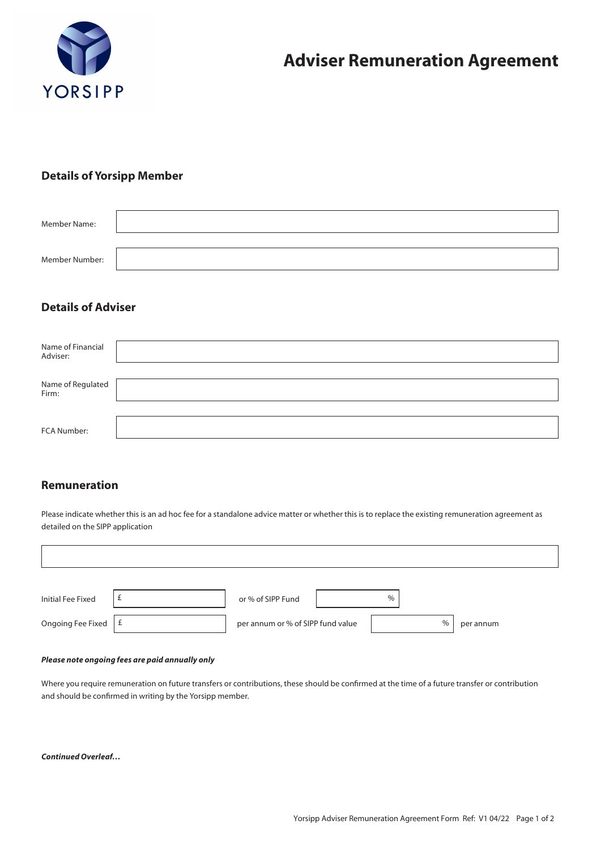

### **Details of Yorsipp Member**

| Member Name:   |  |
|----------------|--|
| Member Number: |  |
|                |  |

# **Details of Adviser**

| Name of Financial<br>Adviser: |  |
|-------------------------------|--|
| Name of Regulated<br>Firm:    |  |
| FCA Number:                   |  |

### **Remuneration**

 $\overline{1}$ 

Please indicate whether this is an ad hoc fee for a standalone advice matter or whether this is to replace the existing remuneration agreement as detailed on the SIPP application

| Initial Fee Fixed | ±. | or % of SIPP Fund                 | $\%$ |           |
|-------------------|----|-----------------------------------|------|-----------|
| Ongoing Fee Fixed | Ι£ | per annum or % of SIPP fund value | $\%$ | per annum |

#### *Please note ongoing fees are paid annually only*

Where you require remuneration on future transfers or contributions, these should be confirmed at the time of a future transfer or contribution and should be confirmed in writing by the Yorsipp member.

*Continued Overleaf…*

٦